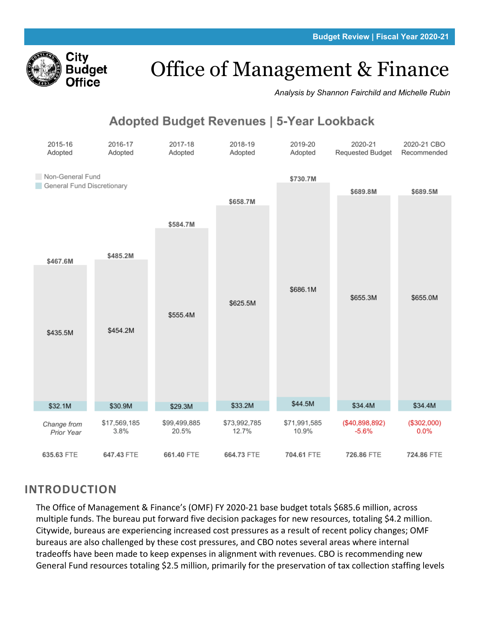

# Office of Management & Finance

*Analysis by Shannon Fairchild and Michelle Rubin*

# Adopted Budget Revenues | 5-Year Lookback



## **INTRODUCTION**

The Office of Management & Finance's (OMF) FY 2020-21 base budget totals \$685.6 million, across multiple funds. The bureau put forward five decision packages for new resources, totaling \$4.2 million. Citywide, bureaus are experiencing increased cost pressures as a result of recent policy changes; OMF bureaus are also challenged by these cost pressures, and CBO notes several areas where internal tradeoffs have been made to keep expenses in alignment with revenues. CBO is recommending new General Fund resources totaling \$2.5 million, primarily for the preservation of tax collection staffing levels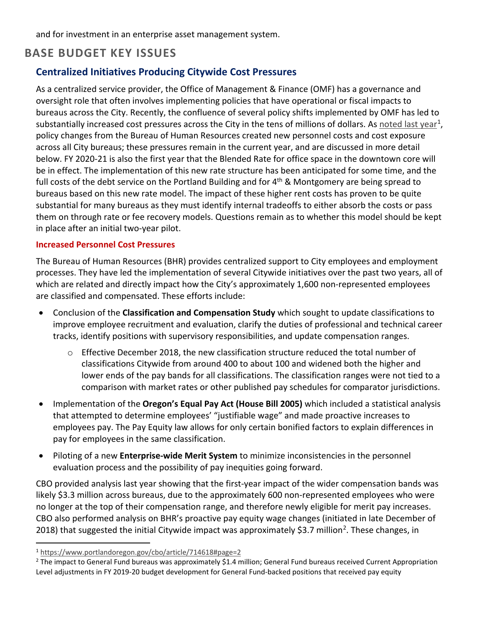and for investment in an enterprise asset management system.

## **BASE BUDGET KEY ISSUES**

### **Centralized Initiatives Producing Citywide Cost Pressures**

As a centralized service provider, the Office of Management & Finance (OMF) has a governance and oversight role that often involves implementing policies that have operational or fiscal impacts to bureaus across the City. Recently, the confluence of several policy shifts implemented by OMF has led to substantially increased cost pressures across the City in the tens of millions of dollars. As [noted last year](https://www.portlandoregon.gov/cbo/article/714618#page=2)<sup>[1](#page-1-0)</sup>, policy changes from the Bureau of Human Resources created new personnel costs and cost exposure across all City bureaus; these pressures remain in the current year, and are discussed in more detail below. FY 2020-21 is also the first year that the Blended Rate for office space in the downtown core will be in effect. The implementation of this new rate structure has been anticipated for some time, and the full costs of the debt service on the Portland Building and for  $4<sup>th</sup>$  & Montgomery are being spread to bureaus based on this new rate model. The impact of these higher rent costs has proven to be quite substantial for many bureaus as they must identify internal tradeoffs to either absorb the costs or pass them on through rate or fee recovery models. Questions remain as to whether this model should be kept in place after an initial two-year pilot.

#### **Increased Personnel Cost Pressures**

The Bureau of Human Resources (BHR) provides centralized support to City employees and employment processes. They have led the implementation of several Citywide initiatives over the past two years, all of which are related and directly impact how the City's approximately 1,600 non-represented employees are classified and compensated. These efforts include:

- Conclusion of the **Classification and Compensation Study** which sought to update classifications to improve employee recruitment and evaluation, clarify the duties of professional and technical career tracks, identify positions with supervisory responsibilities, and update compensation ranges.
	- o Effective December 2018, the new classification structure reduced the total number of classifications Citywide from around 400 to about 100 and widened both the higher and lower ends of the pay bands for all classifications. The classification ranges were not tied to a comparison with market rates or other published pay schedules for comparator jurisdictions.
- Implementation of the **Oregon's Equal Pay Act (House Bill 2005)** which included a statistical analysis that attempted to determine employees' "justifiable wage" and made proactive increases to employees pay. The Pay Equity law allows for only certain bonified factors to explain differences in pay for employees in the same classification.
- Piloting of a new **Enterprise-wide Merit System** to minimize inconsistencies in the personnel evaluation process and the possibility of pay inequities going forward.

CBO provided analysis last year showing that the first-year impact of the wider compensation bands was likely \$3.3 million across bureaus, due to the approximately 600 non-represented employees who were no longer at the top of their compensation range, and therefore newly eligible for merit pay increases. CBO also performed analysis on BHR's proactive pay equity wage changes (initiated in late December of [2](#page-1-1)018) that suggested the initial Citywide impact was approximately \$3.7 million<sup>2</sup>. These changes, in

<span id="page-1-0"></span><sup>1</sup> <https://www.portlandoregon.gov/cbo/article/714618#page=2>

<span id="page-1-1"></span> $2$  The impact to General Fund bureaus was approximately \$1.4 million; General Fund bureaus received Current Appropriation Level adjustments in FY 2019-20 budget development for General Fund-backed positions that received pay equity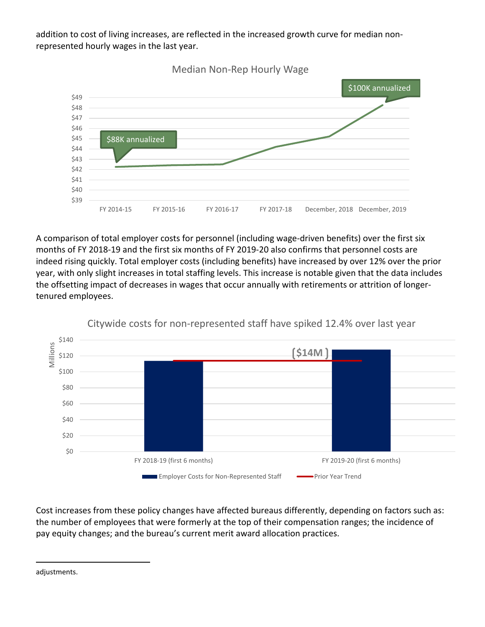addition to cost of living increases, are reflected in the increased growth curve for median nonrepresented hourly wages in the last year.



A comparison of total employer costs for personnel (including wage-driven benefits) over the first six months of FY 2018-19 and the first six months of FY 2019-20 also confirms that personnel costs are indeed rising quickly. Total employer costs (including benefits) have increased by over 12% over the prior year, with only slight increases in total staffing levels. This increase is notable given that the data includes the offsetting impact of decreases in wages that occur annually with retirements or attrition of longertenured employees.



Citywide costs for non-represented staff have spiked 12.4% over last year

Cost increases from these policy changes have affected bureaus differently, depending on factors such as: the number of employees that were formerly at the top of their compensation ranges; the incidence of pay equity changes; and the bureau's current merit award allocation practices.

adjustments.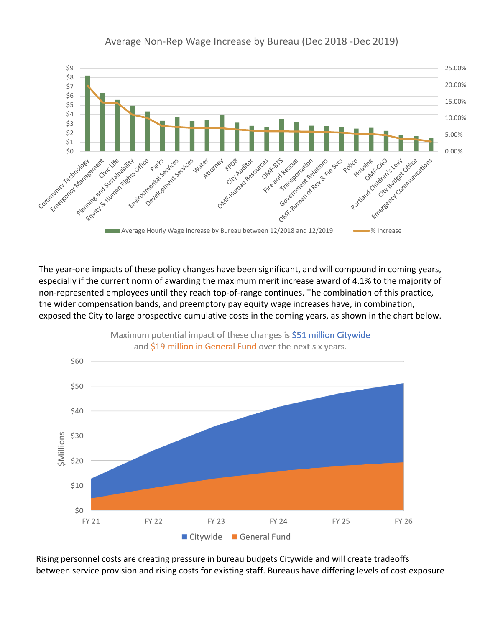

Average Non-Rep Wage Increase by Bureau (Dec 2018 -Dec 2019)

The year-one impacts of these policy changes have been significant, and will compound in coming years, especially if the current norm of awarding the maximum merit increase award of 4.1% to the majority of non-represented employees until they reach top-of-range continues. The combination of this practice, the wider compensation bands, and preemptory pay equity wage increases have, in combination, exposed the City to large prospective cumulative costs in the coming years, as shown in the chart below.



Maximum potential impact of these changes is \$51 million Citywide

Rising personnel costs are creating pressure in bureau budgets Citywide and will create tradeoffs between service provision and rising costs for existing staff. Bureaus have differing levels of cost exposure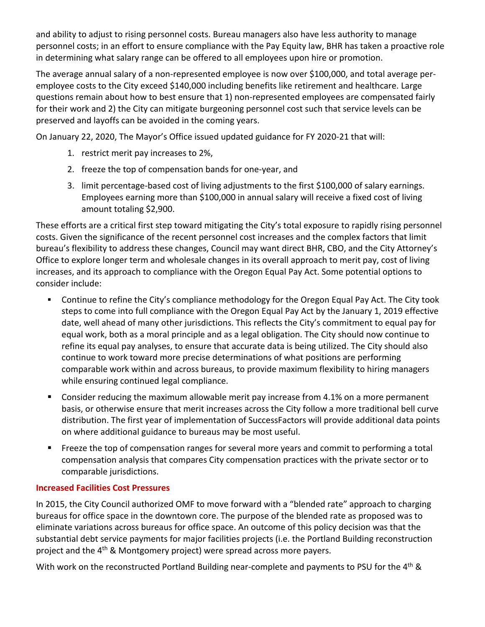and ability to adjust to rising personnel costs. Bureau managers also have less authority to manage personnel costs; in an effort to ensure compliance with the Pay Equity law, BHR has taken a proactive role in determining what salary range can be offered to all employees upon hire or promotion.

The average annual salary of a non-represented employee is now over \$100,000, and total average peremployee costs to the City exceed \$140,000 including benefits like retirement and healthcare. Large questions remain about how to best ensure that 1) non-represented employees are compensated fairly for their work and 2) the City can mitigate burgeoning personnel cost such that service levels can be preserved and layoffs can be avoided in the coming years.

On January 22, 2020, The Mayor's Office issued updated guidance for FY 2020-21 that will:

- 1. restrict merit pay increases to 2%,
- 2. freeze the top of compensation bands for one-year, and
- 3. limit percentage-based cost of living adjustments to the first \$100,000 of salary earnings. Employees earning more than \$100,000 in annual salary will receive a fixed cost of living amount totaling \$2,900.

These efforts are a critical first step toward mitigating the City's total exposure to rapidly rising personnel costs. Given the significance of the recent personnel cost increases and the complex factors that limit bureau's flexibility to address these changes, Council may want direct BHR, CBO, and the City Attorney's Office to explore longer term and wholesale changes in its overall approach to merit pay, cost of living increases, and its approach to compliance with the Oregon Equal Pay Act. Some potential options to consider include:

- Continue to refine the City's compliance methodology for the Oregon Equal Pay Act. The City took steps to come into full compliance with the Oregon Equal Pay Act by the January 1, 2019 effective date, well ahead of many other jurisdictions. This reflects the City's commitment to equal pay for equal work, both as a moral principle and as a legal obligation. The City should now continue to refine its equal pay analyses, to ensure that accurate data is being utilized. The City should also continue to work toward more precise determinations of what positions are performing comparable work within and across bureaus, to provide maximum flexibility to hiring managers while ensuring continued legal compliance.
- **EXTERGHT Consider reducing the maximum allowable merit pay increase from 4.1% on a more permanent** basis, or otherwise ensure that merit increases across the City follow a more traditional bell curve distribution. The first year of implementation of SuccessFactors will provide additional data points on where additional guidance to bureaus may be most useful.
- **FIM** Freeze the top of compensation ranges for several more years and commit to performing a total compensation analysis that compares City compensation practices with the private sector or to comparable jurisdictions.

#### **Increased Facilities Cost Pressures**

In 2015, the City Council authorized OMF to move forward with a "blended rate" approach to charging bureaus for office space in the downtown core. The purpose of the blended rate as proposed was to eliminate variations across bureaus for office space. An outcome of this policy decision was that the substantial debt service payments for major facilities projects (i.e. the Portland Building reconstruction project and the 4<sup>th</sup> & Montgomery project) were spread across more payers.

With work on the reconstructed Portland Building near-complete and payments to PSU for the 4<sup>th</sup> &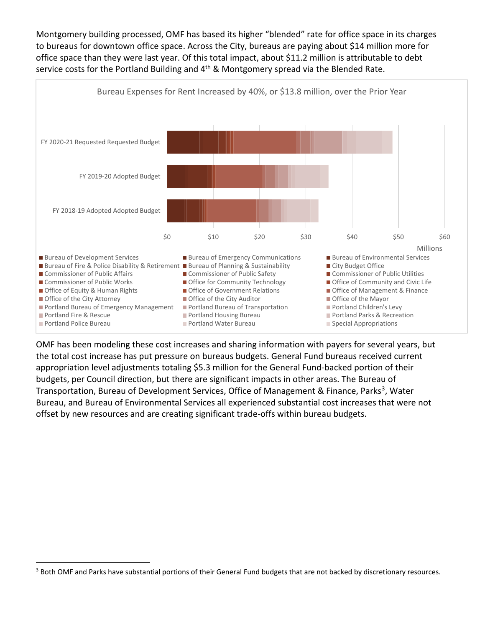Montgomery building processed, OMF has based its higher "blended" rate for office space in its charges to bureaus for downtown office space. Across the City, bureaus are paying about \$14 million more for office space than they were last year. Of this total impact, about \$11.2 million is attributable to debt service costs for the Portland Building and  $4<sup>th</sup>$  & Montgomery spread via the Blended Rate.



OMF has been modeling these cost increases and sharing information with payers for several years, but the total cost increase has put pressure on bureaus budgets. General Fund bureaus received current appropriation level adjustments totaling \$5.3 million for the General Fund-backed portion of their budgets, per Council direction, but there are significant impacts in other areas. The Bureau of Transportation, Bureau of Development Services, Office of Management & Finance, Parks<sup>[3](#page-5-0)</sup>, Water Bureau, and Bureau of Environmental Services all experienced substantial cost increases that were not offset by new resources and are creating significant trade-offs within bureau budgets.

<span id="page-5-0"></span><sup>&</sup>lt;sup>3</sup> Both OMF and Parks have substantial portions of their General Fund budgets that are not backed by discretionary resources.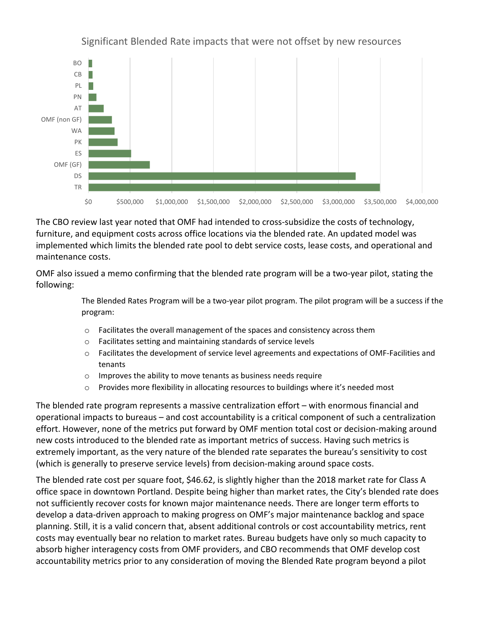

Significant Blended Rate impacts that were not offset by new resources

The CBO review last year noted that OMF had intended to cross-subsidize the costs of technology, furniture, and equipment costs across office locations via the blended rate. An updated model was implemented which limits the blended rate pool to debt service costs, lease costs, and operational and maintenance costs.

OMF also issued a memo confirming that the blended rate program will be a two-year pilot, stating the following:

> The Blended Rates Program will be a two-year pilot program. The pilot program will be a success if the program:

- o Facilitates the overall management of the spaces and consistency across them
- o Facilitates setting and maintaining standards of service levels
- o Facilitates the development of service level agreements and expectations of OMF-Facilities and tenants
- o Improves the ability to move tenants as business needs require
- o Provides more flexibility in allocating resources to buildings where it's needed most

The blended rate program represents a massive centralization effort – with enormous financial and operational impacts to bureaus – and cost accountability is a critical component of such a centralization effort. However, none of the metrics put forward by OMF mention total cost or decision-making around new costs introduced to the blended rate as important metrics of success. Having such metrics is extremely important, as the very nature of the blended rate separates the bureau's sensitivity to cost (which is generally to preserve service levels) from decision-making around space costs.

The blended rate cost per square foot, \$46.62, is slightly higher than the 2018 market rate for Class A office space in downtown Portland. Despite being higher than market rates, the City's blended rate does not sufficiently recover costs for known major maintenance needs. There are longer term efforts to develop a data-driven approach to making progress on OMF's major maintenance backlog and space planning. Still, it is a valid concern that, absent additional controls or cost accountability metrics, rent costs may eventually bear no relation to market rates. Bureau budgets have only so much capacity to absorb higher interagency costs from OMF providers, and CBO recommends that OMF develop cost accountability metrics prior to any consideration of moving the Blended Rate program beyond a pilot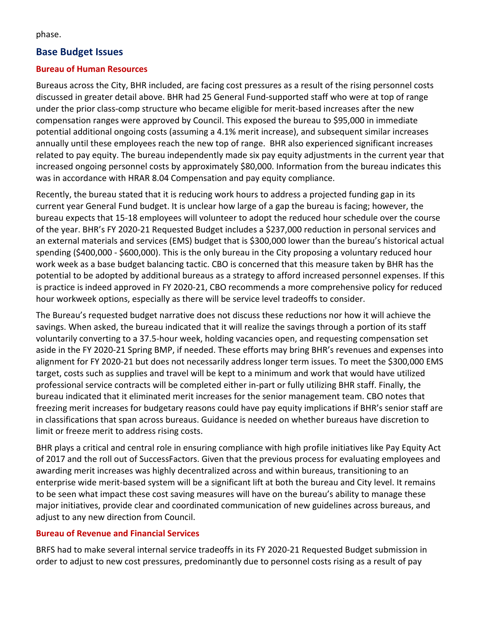phase.

#### **Base Budget Issues**

#### **Bureau of Human Resources**

Bureaus across the City, BHR included, are facing cost pressures as a result of the rising personnel costs discussed in greater detail above. BHR had 25 General Fund-supported staff who were at top of range under the prior class-comp structure who became eligible for merit-based increases after the new compensation ranges were approved by Council. This exposed the bureau to \$95,000 in immediate potential additional ongoing costs (assuming a 4.1% merit increase), and subsequent similar increases annually until these employees reach the new top of range. BHR also experienced significant increases related to pay equity. The bureau independently made six pay equity adjustments in the current year that increased ongoing personnel costs by approximately \$80,000. Information from the bureau indicates this was in accordance with HRAR 8.04 Compensation and pay equity compliance.

Recently, the bureau stated that it is reducing work hours to address a projected funding gap in its current year General Fund budget. It is unclear how large of a gap the bureau is facing; however, the bureau expects that 15-18 employees will volunteer to adopt the reduced hour schedule over the course of the year. BHR's FY 2020-21 Requested Budget includes a \$237,000 reduction in personal services and an external materials and services (EMS) budget that is \$300,000 lower than the bureau's historical actual spending (\$400,000 - \$600,000). This is the only bureau in the City proposing a voluntary reduced hour work week as a base budget balancing tactic. CBO is concerned that this measure taken by BHR has the potential to be adopted by additional bureaus as a strategy to afford increased personnel expenses. If this is practice is indeed approved in FY 2020-21, CBO recommends a more comprehensive policy for reduced hour workweek options, especially as there will be service level tradeoffs to consider.

The Bureau's requested budget narrative does not discuss these reductions nor how it will achieve the savings. When asked, the bureau indicated that it will realize the savings through a portion of its staff voluntarily converting to a 37.5-hour week, holding vacancies open, and requesting compensation set aside in the FY 2020-21 Spring BMP, if needed. These efforts may bring BHR's revenues and expenses into alignment for FY 2020-21 but does not necessarily address longer term issues. To meet the \$300,000 EMS target, costs such as supplies and travel will be kept to a minimum and work that would have utilized professional service contracts will be completed either in-part or fully utilizing BHR staff. Finally, the bureau indicated that it eliminated merit increases for the senior management team. CBO notes that freezing merit increases for budgetary reasons could have pay equity implications if BHR's senior staff are in classifications that span across bureaus. Guidance is needed on whether bureaus have discretion to limit or freeze merit to address rising costs.

BHR plays a critical and central role in ensuring compliance with high profile initiatives like Pay Equity Act of 2017 and the roll out of SuccessFactors. Given that the previous process for evaluating employees and awarding merit increases was highly decentralized across and within bureaus, transitioning to an enterprise wide merit-based system will be a significant lift at both the bureau and City level. It remains to be seen what impact these cost saving measures will have on the bureau's ability to manage these major initiatives, provide clear and coordinated communication of new guidelines across bureaus, and adjust to any new direction from Council.

#### **Bureau of Revenue and Financial Services**

BRFS had to make several internal service tradeoffs in its FY 2020-21 Requested Budget submission in order to adjust to new cost pressures, predominantly due to personnel costs rising as a result of pay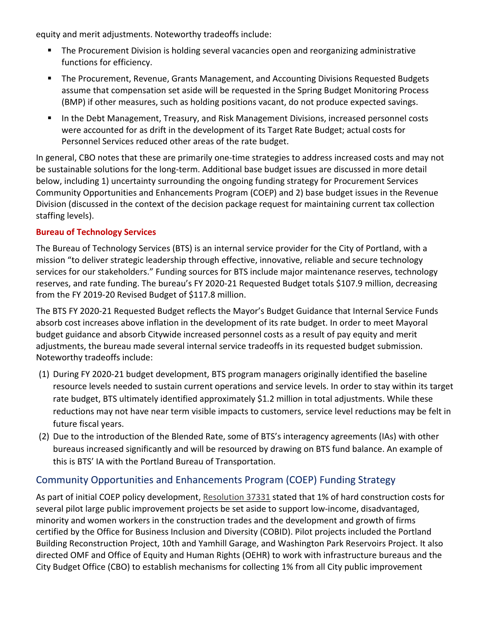equity and merit adjustments. Noteworthy tradeoffs include:

- The Procurement Division is holding several vacancies open and reorganizing administrative functions for efficiency.
- The Procurement, Revenue, Grants Management, and Accounting Divisions Requested Budgets assume that compensation set aside will be requested in the Spring Budget Monitoring Process (BMP) if other measures, such as holding positions vacant, do not produce expected savings.
- **In the Debt Management, Treasury, and Risk Management Divisions, increased personnel costs** were accounted for as drift in the development of its Target Rate Budget; actual costs for Personnel Services reduced other areas of the rate budget.

In general, CBO notes that these are primarily one-time strategies to address increased costs and may not be sustainable solutions for the long-term. Additional base budget issues are discussed in more detail below, including 1) uncertainty surrounding the ongoing funding strategy for Procurement Services Community Opportunities and Enhancements Program (COEP) and 2) base budget issues in the Revenue Division (discussed in the context of the decision package request for maintaining current tax collection staffing levels).

#### **Bureau of Technology Services**

The Bureau of Technology Services (BTS) is an internal service provider for the City of Portland, with a mission "to deliver strategic leadership through effective, innovative, reliable and secure technology services for our stakeholders." Funding sources for BTS include major maintenance reserves, technology reserves, and rate funding. The bureau's FY 2020-21 Requested Budget totals \$107.9 million, decreasing from the FY 2019-20 Revised Budget of \$117.8 million.

The BTS FY 2020-21 Requested Budget reflects the Mayor's Budget Guidance that Internal Service Funds absorb cost increases above inflation in the development of its rate budget. In order to meet Mayoral budget guidance and absorb Citywide increased personnel costs as a result of pay equity and merit adjustments, the bureau made several internal service tradeoffs in its requested budget submission. Noteworthy tradeoffs include:

- (1) During FY 2020-21 budget development, BTS program managers originally identified the baseline resource levels needed to sustain current operations and service levels. In order to stay within its target rate budget, BTS ultimately identified approximately \$1.2 million in total adjustments. While these reductions may not have near term visible impacts to customers, service level reductions may be felt in future fiscal years.
- (2) Due to the introduction of the Blended Rate, some of BTS's interagency agreements (IAs) with other bureaus increased significantly and will be resourced by drawing on BTS fund balance. An example of this is BTS' IA with the Portland Bureau of Transportation.

## Community Opportunities and Enhancements Program (COEP) Funding Strategy

As part of initial COEP policy development, [Resolution 37331](https://efiles.portlandoregon.gov/Record/11399457/) stated that 1% of hard construction costs for several pilot large public improvement projects be set aside to support low-income, disadvantaged, minority and women workers in the construction trades and the development and growth of firms certified by the Office for Business Inclusion and Diversity (COBID). Pilot projects included the Portland Building Reconstruction Project, 10th and Yamhill Garage, and Washington Park Reservoirs Project. It also directed OMF and Office of Equity and Human Rights (OEHR) to work with infrastructure bureaus and the City Budget Office (CBO) to establish mechanisms for collecting 1% from all City public improvement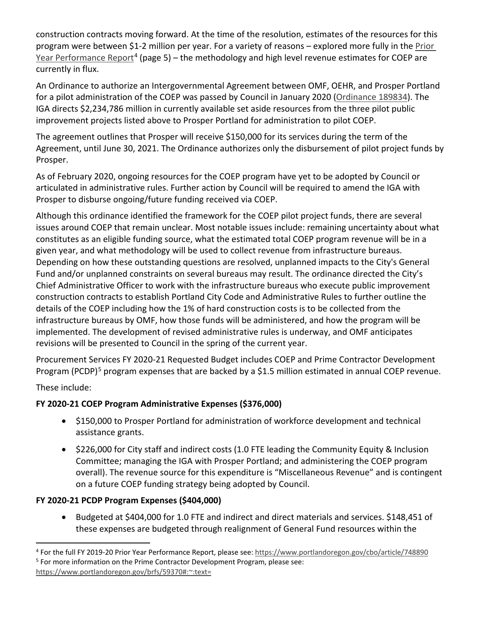construction contracts moving forward. At the time of the resolution, estimates of the resources for this program were between \$1-2 million per year. For a variety of reasons – explored more fully in the [Prior](https://www.portlandoregon.gov/cbo/article/748890)  [Year Performance Report](https://www.portlandoregon.gov/cbo/article/748890)<sup>[4](#page-9-0)</sup> (page 5) – the methodology and high level revenue estimates for COEP are currently in flux.

An Ordinance to authorize an Intergovernmental Agreement between OMF, OEHR, and Prosper Portland for a pilot administration of the COEP was passed by Council in January 2020 [\(Ordinance 189834\)](https://efiles.portlandoregon.gov/Record/13506733/). The IGA directs \$2,234,786 million in currently available set aside resources from the three pilot public improvement projects listed above to Prosper Portland for administration to pilot COEP.

The agreement outlines that Prosper will receive \$150,000 for its services during the term of the Agreement, until June 30, 2021. The Ordinance authorizes only the disbursement of pilot project funds by Prosper.

As of February 2020, ongoing resources for the COEP program have yet to be adopted by Council or articulated in administrative rules. Further action by Council will be required to amend the IGA with Prosper to disburse ongoing/future funding received via COEP.

Although this ordinance identified the framework for the COEP pilot project funds, there are several issues around COEP that remain unclear. Most notable issues include: remaining uncertainty about what constitutes as an eligible funding source, what the estimated total COEP program revenue will be in a given year, and what methodology will be used to collect revenue from infrastructure bureaus. Depending on how these outstanding questions are resolved, unplanned impacts to the City's General Fund and/or unplanned constraints on several bureaus may result. The ordinance directed the City's Chief Administrative Officer to work with the infrastructure bureaus who execute public improvement construction contracts to establish Portland City Code and Administrative Rules to further outline the details of the COEP including how the 1% of hard construction costs is to be collected from the infrastructure bureaus by OMF, how those funds will be administered, and how the program will be implemented. The development of revised administrative rules is underway, and OMF anticipates revisions will be presented to Council in the spring of the current year.

Procurement Services FY 2020-21 Requested Budget includes COEP and Prime Contractor Development Program (PCDP)<sup>[5](#page-9-1)</sup> program expenses that are backed by a \$1.5 million estimated in annual COEP revenue.

These include:

## **FY 2020-21 COEP Program Administrative Expenses (\$376,000)**

- \$150,000 to Prosper Portland for administration of workforce development and technical assistance grants.
- \$226,000 for City staff and indirect costs (1.0 FTE leading the Community Equity & Inclusion Committee; managing the IGA with Prosper Portland; and administering the COEP program overall). The revenue source for this expenditure is "Miscellaneous Revenue" and is contingent on a future COEP funding strategy being adopted by Council.

## **FY 2020-21 PCDP Program Expenses (\$404,000)**

• Budgeted at \$404,000 for 1.0 FTE and indirect and direct materials and services. \$148,451 of these expenses are budgeted through realignment of General Fund resources within the

<span id="page-9-1"></span><span id="page-9-0"></span><sup>4</sup> For the full FY 2019-20 Prior Year Performance Report, please see:<https://www.portlandoregon.gov/cbo/article/748890> <sup>5</sup> For more information on the Prime Contractor Development Program, please see: [https://www.portlandoregon.gov/brfs/59370#:~:text=](https://www.portlandoregon.gov/brfs/59370#:%7E:text=)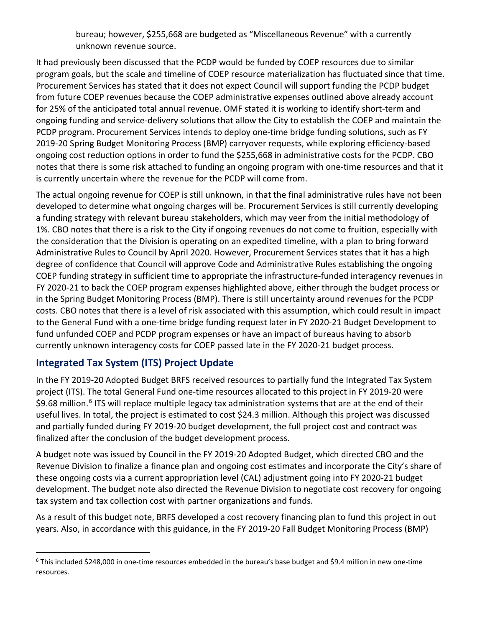bureau; however, \$255,668 are budgeted as "Miscellaneous Revenue" with a currently unknown revenue source.

It had previously been discussed that the PCDP would be funded by COEP resources due to similar program goals, but the scale and timeline of COEP resource materialization has fluctuated since that time. Procurement Services has stated that it does not expect Council will support funding the PCDP budget from future COEP revenues because the COEP administrative expenses outlined above already account for 25% of the anticipated total annual revenue. OMF stated it is working to identify short-term and ongoing funding and service-delivery solutions that allow the City to establish the COEP and maintain the PCDP program. Procurement Services intends to deploy one-time bridge funding solutions, such as FY 2019-20 Spring Budget Monitoring Process (BMP) carryover requests, while exploring efficiency-based ongoing cost reduction options in order to fund the \$255,668 in administrative costs for the PCDP. CBO notes that there is some risk attached to funding an ongoing program with one-time resources and that it is currently uncertain where the revenue for the PCDP will come from.

The actual ongoing revenue for COEP is still unknown, in that the final administrative rules have not been developed to determine what ongoing charges will be. Procurement Services is still currently developing a funding strategy with relevant bureau stakeholders, which may veer from the initial methodology of 1%. CBO notes that there is a risk to the City if ongoing revenues do not come to fruition, especially with the consideration that the Division is operating on an expedited timeline, with a plan to bring forward Administrative Rules to Council by April 2020. However, Procurement Services states that it has a high degree of confidence that Council will approve Code and Administrative Rules establishing the ongoing COEP funding strategy in sufficient time to appropriate the infrastructure-funded interagency revenues in FY 2020-21 to back the COEP program expenses highlighted above, either through the budget process or in the Spring Budget Monitoring Process (BMP). There is still uncertainty around revenues for the PCDP costs. CBO notes that there is a level of risk associated with this assumption, which could result in impact to the General Fund with a one-time bridge funding request later in FY 2020-21 Budget Development to fund unfunded COEP and PCDP program expenses or have an impact of bureaus having to absorb currently unknown interagency costs for COEP passed late in the FY 2020-21 budget process.

## **Integrated Tax System (ITS) Project Update**

In the FY 2019-20 Adopted Budget BRFS received resources to partially fund the Integrated Tax System project (ITS). The total General Fund one-time resources allocated to this project in FY 2019-20 were \$9.[6](#page-10-0)8 million.<sup>6</sup> ITS will replace multiple legacy tax administration systems that are at the end of their useful lives. In total, the project is estimated to cost \$24.3 million. Although this project was discussed and partially funded during FY 2019-20 budget development, the full project cost and contract was finalized after the conclusion of the budget development process.

A budget note was issued by Council in the FY 2019-20 Adopted Budget, which directed CBO and the Revenue Division to finalize a finance plan and ongoing cost estimates and incorporate the City's share of these ongoing costs via a current appropriation level (CAL) adjustment going into FY 2020-21 budget development. The budget note also directed the Revenue Division to negotiate cost recovery for ongoing tax system and tax collection cost with partner organizations and funds.

As a result of this budget note, BRFS developed a cost recovery financing plan to fund this project in out years. Also, in accordance with this guidance, in the FY 2019-20 Fall Budget Monitoring Process (BMP)

<span id="page-10-0"></span> $6$  This included \$248,000 in one-time resources embedded in the bureau's base budget and \$9.4 million in new one-time resources.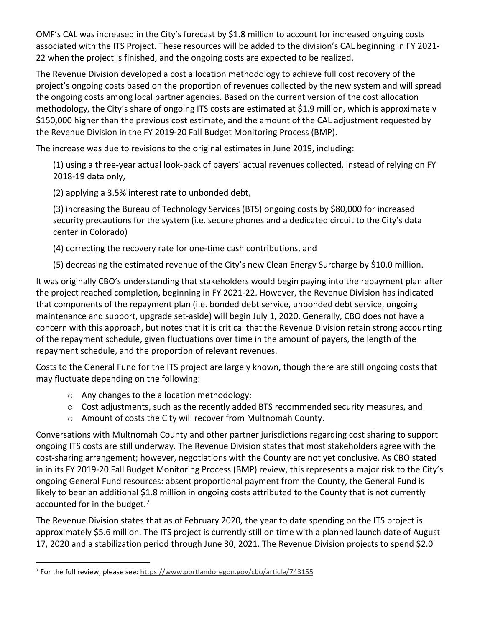OMF's CAL was increased in the City's forecast by \$1.8 million to account for increased ongoing costs associated with the ITS Project. These resources will be added to the division's CAL beginning in FY 2021- 22 when the project is finished, and the ongoing costs are expected to be realized.

The Revenue Division developed a cost allocation methodology to achieve full cost recovery of the project's ongoing costs based on the proportion of revenues collected by the new system and will spread the ongoing costs among local partner agencies. Based on the current version of the cost allocation methodology, the City's share of ongoing ITS costs are estimated at \$1.9 million, which is approximately \$150,000 higher than the previous cost estimate, and the amount of the CAL adjustment requested by the Revenue Division in the FY 2019-20 Fall Budget Monitoring Process (BMP).

The increase was due to revisions to the original estimates in June 2019, including:

(1) using a three-year actual look-back of payers' actual revenues collected, instead of relying on FY 2018-19 data only,

(2) applying a 3.5% interest rate to unbonded debt,

(3) increasing the Bureau of Technology Services (BTS) ongoing costs by \$80,000 for increased security precautions for the system (i.e. secure phones and a dedicated circuit to the City's data center in Colorado)

(4) correcting the recovery rate for one-time cash contributions, and

(5) decreasing the estimated revenue of the City's new Clean Energy Surcharge by \$10.0 million.

It was originally CBO's understanding that stakeholders would begin paying into the repayment plan after the project reached completion, beginning in FY 2021-22. However, the Revenue Division has indicated that components of the repayment plan (i.e. bonded debt service, unbonded debt service, ongoing maintenance and support, upgrade set-aside) will begin July 1, 2020. Generally, CBO does not have a concern with this approach, but notes that it is critical that the Revenue Division retain strong accounting of the repayment schedule, given fluctuations over time in the amount of payers, the length of the repayment schedule, and the proportion of relevant revenues.

Costs to the General Fund for the ITS project are largely known, though there are still ongoing costs that may fluctuate depending on the following:

- o Any changes to the allocation methodology;
- o Cost adjustments, such as the recently added BTS recommended security measures, and
- o Amount of costs the City will recover from Multnomah County.

Conversations with Multnomah County and other partner jurisdictions regarding cost sharing to support ongoing ITS costs are still underway. The Revenue Division states that most stakeholders agree with the cost-sharing arrangement; however, negotiations with the County are not yet conclusive. As CBO stated in in its FY 2019-20 Fall Budget Monitoring Process (BMP) review, this represents a major risk to the City's ongoing General Fund resources: absent proportional payment from the County, the General Fund is likely to bear an additional \$1.8 million in ongoing costs attributed to the County that is not currently accounted for in the budget.<sup>[7](#page-11-0)</sup>

The Revenue Division states that as of February 2020, the year to date spending on the ITS project is approximately \$5.6 million. The ITS project is currently still on time with a planned launch date of August 17, 2020 and a stabilization period through June 30, 2021. The Revenue Division projects to spend \$2.0

<span id="page-11-0"></span><sup>7</sup> For the full review, please see:<https://www.portlandoregon.gov/cbo/article/743155>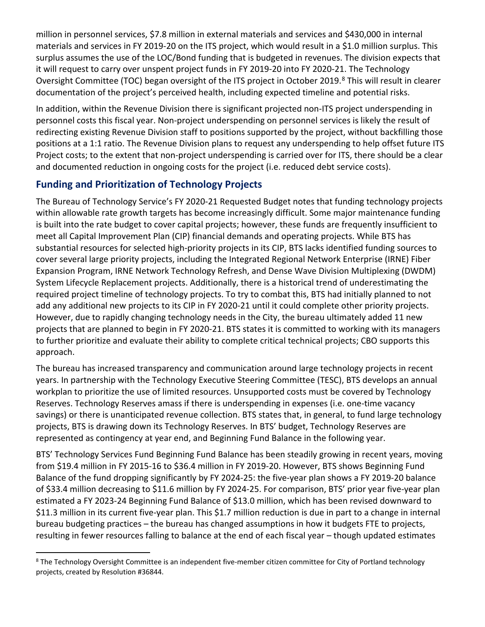million in personnel services, \$7.8 million in external materials and services and \$430,000 in internal materials and services in FY 2019-20 on the ITS project, which would result in a \$1.0 million surplus. This surplus assumes the use of the LOC/Bond funding that is budgeted in revenues. The division expects that it will request to carry over unspent project funds in FY 2019-20 into FY 2020-21. The Technology Oversight Committee (TOC) began oversight of the ITS project in October 2019.<sup>[8](#page-12-0)</sup> This will result in clearer documentation of the project's perceived health, including expected timeline and potential risks.

In addition, within the Revenue Division there is significant projected non-ITS project underspending in personnel costs this fiscal year. Non-project underspending on personnel services is likely the result of redirecting existing Revenue Division staff to positions supported by the project, without backfilling those positions at a 1:1 ratio. The Revenue Division plans to request any underspending to help offset future ITS Project costs; to the extent that non-project underspending is carried over for ITS, there should be a clear and documented reduction in ongoing costs for the project (i.e. reduced debt service costs).

## **Funding and Prioritization of Technology Projects**

The Bureau of Technology Service's FY 2020-21 Requested Budget notes that funding technology projects within allowable rate growth targets has become increasingly difficult. Some major maintenance funding is built into the rate budget to cover capital projects; however, these funds are frequently insufficient to meet all Capital Improvement Plan (CIP) financial demands and operating projects. While BTS has substantial resources for selected high-priority projects in its CIP, BTS lacks identified funding sources to cover several large priority projects, including the Integrated Regional Network Enterprise (IRNE) Fiber Expansion Program, IRNE Network Technology Refresh, and Dense Wave Division Multiplexing (DWDM) System Lifecycle Replacement projects. Additionally, there is a historical trend of underestimating the required project timeline of technology projects. To try to combat this, BTS had initially planned to not add any additional new projects to its CIP in FY 2020-21 until it could complete other priority projects. However, due to rapidly changing technology needs in the City, the bureau ultimately added 11 new projects that are planned to begin in FY 2020-21. BTS states it is committed to working with its managers to further prioritize and evaluate their ability to complete critical technical projects; CBO supports this approach.

The bureau has increased transparency and communication around large technology projects in recent years. In partnership with the Technology Executive Steering Committee (TESC), BTS develops an annual workplan to prioritize the use of limited resources. Unsupported costs must be covered by Technology Reserves. Technology Reserves amass if there is underspending in expenses (i.e. one-time vacancy savings) or there is unanticipated revenue collection. BTS states that, in general, to fund large technology projects, BTS is drawing down its Technology Reserves. In BTS' budget, Technology Reserves are represented as contingency at year end, and Beginning Fund Balance in the following year.

BTS' Technology Services Fund Beginning Fund Balance has been steadily growing in recent years, moving from \$19.4 million in FY 2015-16 to \$36.4 million in FY 2019-20. However, BTS shows Beginning Fund Balance of the fund dropping significantly by FY 2024-25: the five-year plan shows a FY 2019-20 balance of \$33.4 million decreasing to \$11.6 million by FY 2024-25. For comparison, BTS' prior year five-year plan estimated a FY 2023-24 Beginning Fund Balance of \$13.0 million, which has been revised downward to \$11.3 million in its current five-year plan. This \$1.7 million reduction is due in part to a change in internal bureau budgeting practices – the bureau has changed assumptions in how it budgets FTE to projects, resulting in fewer resources falling to balance at the end of each fiscal year – though updated estimates

<span id="page-12-0"></span><sup>&</sup>lt;sup>8</sup> The Technology Oversight Committee is an independent five-member citizen committee for City of Portland technology projects, created by Resolution #36844.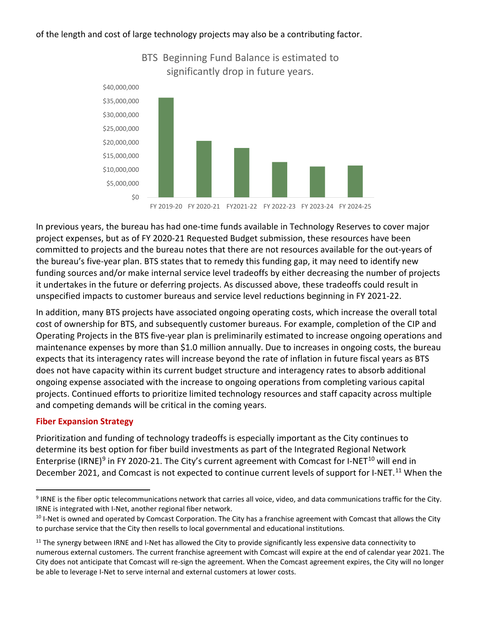#### of the length and cost of large technology projects may also be a contributing factor.



#### BTS Beginning Fund Balance is estimated to significantly drop in future years.

In previous years, the bureau has had one-time funds available in Technology Reserves to cover major project expenses, but as of FY 2020-21 Requested Budget submission, these resources have been committed to projects and the bureau notes that there are not resources available for the out-years of the bureau's five-year plan. BTS states that to remedy this funding gap, it may need to identify new funding sources and/or make internal service level tradeoffs by either decreasing the number of projects it undertakes in the future or deferring projects. As discussed above, these tradeoffs could result in unspecified impacts to customer bureaus and service level reductions beginning in FY 2021-22.

In addition, many BTS projects have associated ongoing operating costs, which increase the overall total cost of ownership for BTS, and subsequently customer bureaus. For example, completion of the CIP and Operating Projects in the BTS five-year plan is preliminarily estimated to increase ongoing operations and maintenance expenses by more than \$1.0 million annually. Due to increases in ongoing costs, the bureau expects that its interagency rates will increase beyond the rate of inflation in future fiscal years as BTS does not have capacity within its current budget structure and interagency rates to absorb additional ongoing expense associated with the increase to ongoing operations from completing various capital projects. Continued efforts to prioritize limited technology resources and staff capacity across multiple and competing demands will be critical in the coming years.

#### **Fiber Expansion Strategy**

Prioritization and funding of technology tradeoffs is especially important as the City continues to determine its best option for fiber build investments as part of the Integrated Regional Network Enterprise (IRNE)<sup>[9](#page-13-0)</sup> in FY 2020-21. The City's current agreement with Comcast for I-NET<sup>[10](#page-13-1)</sup> will end in December 2021, and Comcast is not expected to continue current levels of support for I-NET.<sup>[11](#page-13-2)</sup> When the

<span id="page-13-0"></span><sup>9</sup> IRNE is the fiber optic telecommunications network that carries all voice, video, and data communications traffic for the City. IRNE is integrated with I-Net, another regional fiber network.

<span id="page-13-1"></span> $10$  I-Net is owned and operated by Comcast Corporation. The City has a franchise agreement with Comcast that allows the City to purchase service that the City then resells to local governmental and educational institutions.

<span id="page-13-2"></span> $11$  The synergy between IRNE and I-Net has allowed the City to provide significantly less expensive data connectivity to numerous external customers. The current franchise agreement with Comcast will expire at the end of calendar year 2021. The City does not anticipate that Comcast will re-sign the agreement. When the Comcast agreement expires, the City will no longer be able to leverage I-Net to serve internal and external customers at lower costs.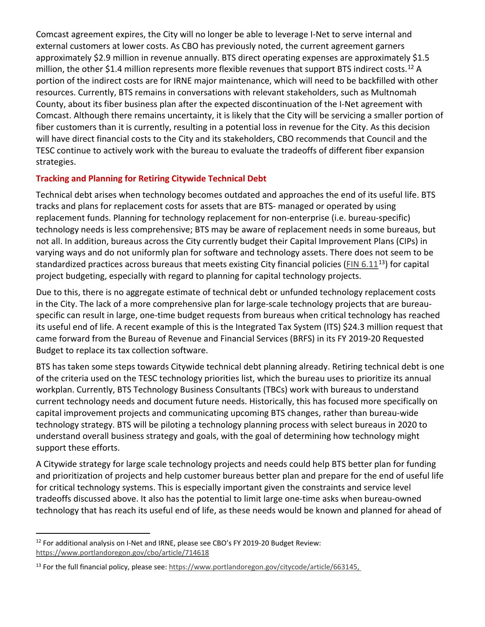Comcast agreement expires, the City will no longer be able to leverage I-Net to serve internal and external customers at lower costs. As CBO has previously noted, the current agreement garners approximately \$2.9 million in revenue annually. BTS direct operating expenses are approximately \$1.5 million, the other \$1.4 million represents more flexible revenues that support BTS indirect costs.<sup>[12](#page-14-0)</sup> A portion of the indirect costs are for IRNE major maintenance, which will need to be backfilled with other resources. Currently, BTS remains in conversations with relevant stakeholders, such as Multnomah County, about its fiber business plan after the expected discontinuation of the I-Net agreement with Comcast. Although there remains uncertainty, it is likely that the City will be servicing a smaller portion of fiber customers than it is currently, resulting in a potential loss in revenue for the City. As this decision will have direct financial costs to the City and its stakeholders, CBO recommends that Council and the TESC continue to actively work with the bureau to evaluate the tradeoffs of different fiber expansion strategies.

#### **Tracking and Planning for Retiring Citywide Technical Debt**

Technical debt arises when technology becomes outdated and approaches the end of its useful life. BTS tracks and plans for replacement costs for assets that are BTS- managed or operated by using replacement funds. Planning for technology replacement for non-enterprise (i.e. bureau-specific) technology needs is less comprehensive; BTS may be aware of replacement needs in some bureaus, but not all. In addition, bureaus across the City currently budget their Capital Improvement Plans (CIPs) in varying ways and do not uniformly plan for software and technology assets. There does not seem to be standardized practices across bureaus that meets existing City financial policies [\(FIN 6.11](https://www.portlandoregon.gov/citycode/article/663145)<sup>[13](#page-14-1)</sup>) for capital project budgeting, especially with regard to planning for capital technology projects.

Due to this, there is no aggregate estimate of technical debt or unfunded technology replacement costs in the City. The lack of a more comprehensive plan for large-scale technology projects that are bureauspecific can result in large, one-time budget requests from bureaus when critical technology has reached its useful end of life. A recent example of this is the Integrated Tax System (ITS) \$24.3 million request that came forward from the Bureau of Revenue and Financial Services (BRFS) in its FY 2019-20 Requested Budget to replace its tax collection software.

BTS has taken some steps towards Citywide technical debt planning already. Retiring technical debt is one of the criteria used on the TESC technology priorities list, which the bureau uses to prioritize its annual workplan. Currently, BTS Technology Business Consultants (TBCs) work with bureaus to understand current technology needs and document future needs. Historically, this has focused more specifically on capital improvement projects and communicating upcoming BTS changes, rather than bureau-wide technology strategy. BTS will be piloting a technology planning process with select bureaus in 2020 to understand overall business strategy and goals, with the goal of determining how technology might support these efforts.

A Citywide strategy for large scale technology projects and needs could help BTS better plan for funding and prioritization of projects and help customer bureaus better plan and prepare for the end of useful life for critical technology systems. This is especially important given the constraints and service level tradeoffs discussed above. It also has the potential to limit large one-time asks when bureau-owned technology that has reach its useful end of life, as these needs would be known and planned for ahead of

<span id="page-14-0"></span><sup>&</sup>lt;sup>12</sup> For additional analysis on I-Net and IRNE, please see CBO's FY 2019-20 Budget Review: <https://www.portlandoregon.gov/cbo/article/714618>

<span id="page-14-1"></span><sup>&</sup>lt;sup>13</sup> For the full financial policy, please see[: https://www.portlandoregon.gov/citycode/article/663145,](https://www.portlandoregon.gov/citycode/article/663145)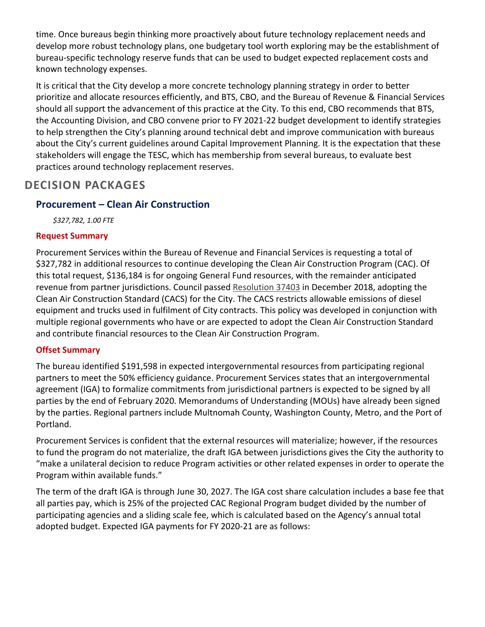time. Once bureaus begin thinking more proactively about future technology replacement needs and develop more robust technology plans, one budgetary tool worth exploring may be the establishment of bureau-specific technology reserve funds that can be used to budget expected replacement costs and known technology expenses.

It is critical that the City develop a more concrete technology planning strategy in order to better prioritize and allocate resources efficiently, and BTS, CBO, and the Bureau of Revenue & Financial Services should all support the advancement of this practice at the City. To this end, CBO recommends that BTS, the Accounting Division, and CBO convene prior to FY 2021-22 budget development to identify strategies to help strengthen the City's planning around technical debt and improve communication with bureaus about the City's current guidelines around Capital Improvement Planning. It is the expectation that these stakeholders will engage the TESC, which has membership from several bureaus, to evaluate best practices around technology replacement reserves.

## **DECISION PACKAGES**

## **Procurement – Clean Air Construction**

*\$327,782, 1.00 FTE*

#### **Request Summary**

Procurement Services within the Bureau of Revenue and Financial Services is requesting a total of \$327,782 in additional resources to continue developing the Clean Air Construction Program (CAC). Of this total request, \$136,184 is for ongoing General Fund resources, with the remainder anticipated revenue from partner jurisdictions. Council passed [Resolution 37403](https://efiles.portlandoregon.gov/Record/12538569/) in December 2018, adopting the Clean Air Construction Standard (CACS) for the City. The CACS restricts allowable emissions of diesel equipment and trucks used in fulfilment of City contracts. This policy was developed in conjunction with multiple regional governments who have or are expected to adopt the Clean Air Construction Standard and contribute financial resources to the Clean Air Construction Program.

#### **Offset Summary**

The bureau identified \$191,598 in expected intergovernmental resources from participating regional partners to meet the 50% efficiency guidance. Procurement Services states that an intergovernmental agreement (IGA) to formalize commitments from jurisdictional partners is expected to be signed by all parties by the end of February 2020. Memorandums of Understanding (MOUs) have already been signed by the parties. Regional partners include Multnomah County, Washington County, Metro, and the Port of Portland.

Procurement Services is confident that the external resources will materialize; however, if the resources to fund the program do not materialize, the draft IGA between jurisdictions gives the City the authority to "make a unilateral decision to reduce Program activities or other related expenses in order to operate the Program within available funds."

The term of the draft IGA is through June 30, 2027. The IGA cost share calculation includes a base fee that all parties pay, which is 25% of the projected CAC Regional Program budget divided by the number of participating agencies and a sliding scale fee, which is calculated based on the Agency's annual total adopted budget. Expected IGA payments for FY 2020-21 are as follows: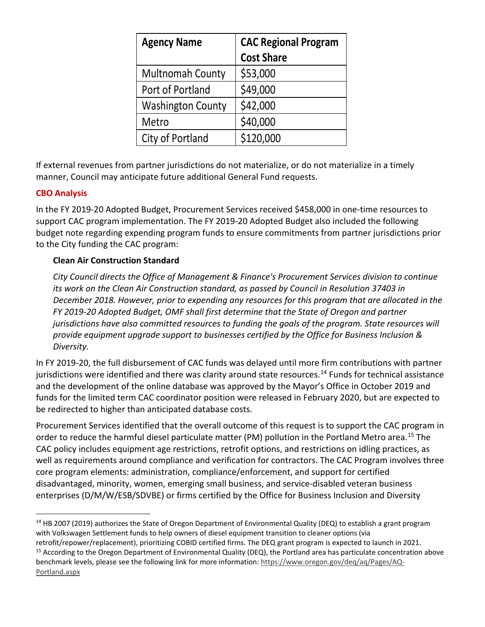| <b>Agency Name</b>       | <b>CAC Regional Program</b> |  |  |
|--------------------------|-----------------------------|--|--|
|                          | <b>Cost Share</b>           |  |  |
| <b>Multnomah County</b>  | \$53,000                    |  |  |
| Port of Portland         | \$49,000                    |  |  |
| <b>Washington County</b> | \$42,000                    |  |  |
| Metro                    | \$40,000                    |  |  |
| City of Portland         | \$120,000                   |  |  |

If external revenues from partner jurisdictions do not materialize, or do not materialize in a timely manner, Council may anticipate future additional General Fund requests.

#### **CBO Analysis**

In the FY 2019-20 Adopted Budget, Procurement Services received \$458,000 in one-time resources to support CAC program implementation. The FY 2019-20 Adopted Budget also included the following budget note regarding expending program funds to ensure commitments from partner jurisdictions prior to the City funding the CAC program:

#### **Clean Air Construction Standard**

*City Council directs the Office of Management & Finance's Procurement Services division to continue its work on the Clean Air Construction standard, as passed by Council in Resolution 37403 in December 2018. However, prior to expending any resources for this program that are allocated in the FY 2019-20 Adopted Budget, OMF shall first determine that the State of Oregon and partner jurisdictions have also committed resources to funding the goals of the program. State resources will provide equipment upgrade support to businesses certified by the Office for Business Inclusion & Diversity.*

In FY 2019-20, the full disbursement of CAC funds was delayed until more firm contributions with partner jurisdictions were identified and there was clarity around state resources.<sup>[14](#page-16-0)</sup> Funds for technical assistance and the development of the online database was approved by the Mayor's Office in October 2019 and funds for the limited term CAC coordinator position were released in February 2020, but are expected to be redirected to higher than anticipated database costs.

Procurement Services identified that the overall outcome of this request is to support the CAC program in order to reduce the harmful diesel particulate matter (PM) pollution in the Portland Metro area. [15](#page-16-1) The CAC policy includes equipment age restrictions, retrofit options, and restrictions on idling practices, as well as requirements around compliance and verification for contractors. The CAC Program involves three core program elements: administration, compliance/enforcement, and support for certified disadvantaged, minority, women, emerging small business, and service-disabled veteran business enterprises (D/M/W/ESB/SDVBE) or firms certified by the Office for Business Inclusion and Diversity

<span id="page-16-1"></span><span id="page-16-0"></span><sup>&</sup>lt;sup>14</sup> HB 2007 (2019) authorizes the State of Oregon Department of Environmental Quality (DEQ) to establish a grant program with Volkswagen Settlement funds to help owners of diesel equipment transition to cleaner options (via retrofit/repower/replacement), prioritizing COBID certified firms. The DEQ grant program is expected to launch in 2021.<br><sup>15</sup> According to the Oregon Department of Environmental Quality (DEQ), the Portland area has particul benchmark levels, please see the following link for more information: [https://www.oregon.gov/deq/aq/Pages/AQ-](https://www.oregon.gov/deq/aq/Pages/AQ-Portland.aspx)[Portland.aspx](https://www.oregon.gov/deq/aq/Pages/AQ-Portland.aspx)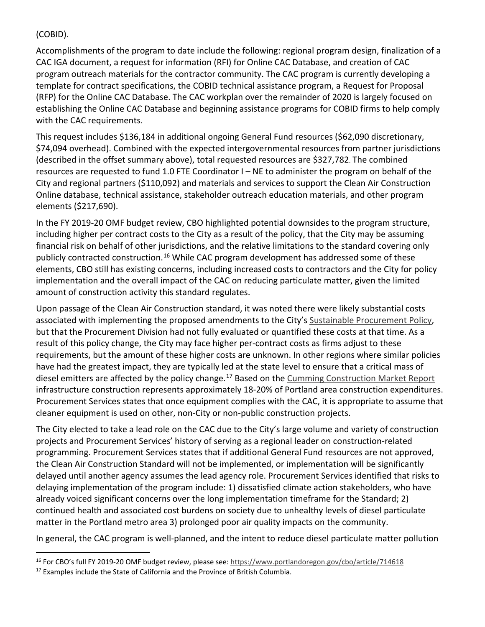#### (COBID).

Accomplishments of the program to date include the following: regional program design, finalization of a CAC IGA document, a request for information (RFI) for Online CAC Database, and creation of CAC program outreach materials for the contractor community. The CAC program is currently developing a template for contract specifications, the COBID technical assistance program, a Request for Proposal (RFP) for the Online CAC Database. The CAC workplan over the remainder of 2020 is largely focused on establishing the Online CAC Database and beginning assistance programs for COBID firms to help comply with the CAC requirements.

This request includes \$136,184 in additional ongoing General Fund resources (\$62,090 discretionary, \$74,094 overhead). Combined with the expected intergovernmental resources from partner jurisdictions (described in the offset summary above), total requested resources are \$327,782. The combined resources are requested to fund 1.0 FTE Coordinator I – NE to administer the program on behalf of the City and regional partners (\$110,092) and materials and services to support the Clean Air Construction Online database, technical assistance, stakeholder outreach education materials, and other program elements (\$217,690).

In the FY 2019-20 OMF budget review, CBO highlighted potential downsides to the program structure, including higher per contract costs to the City as a result of the policy, that the City may be assuming financial risk on behalf of other jurisdictions, and the relative limitations to the standard covering only publicly contracted construction.<sup>[16](#page-17-0)</sup> While CAC program development has addressed some of these elements, CBO still has existing concerns, including increased costs to contractors and the City for policy implementation and the overall impact of the CAC on reducing particulate matter, given the limited amount of construction activity this standard regulates.

Upon passage of the Clean Air Construction standard, it was noted there were likely substantial costs associated with implementing the proposed amendments to the City's [Sustainable Procurement Policy,](https://www.portlandoregon.gov/brfs/37755) but that the Procurement Division had not fully evaluated or quantified these costs at that time. As a result of this policy change, the City may face higher per-contract costs as firms adjust to these requirements, but the amount of these higher costs are unknown. In other regions where similar policies have had the greatest impact, they are typically led at the state level to ensure that a critical mass of diesel emitters are affected by the policy change.<sup>[17](#page-17-1)</sup> Based on the [Cumming Construction Market Report](https://ccorpinsights.com/regional/portland/) infrastructure construction represents approximately 18-20% of Portland area construction expenditures. Procurement Services states that once equipment complies with the CAC, it is appropriate to assume that cleaner equipment is used on other, non-City or non-public construction projects.

The City elected to take a lead role on the CAC due to the City's large volume and variety of construction projects and Procurement Services' history of serving as a regional leader on construction-related programming. Procurement Services states that if additional General Fund resources are not approved, the Clean Air Construction Standard will not be implemented, or implementation will be significantly delayed until another agency assumes the lead agency role. Procurement Services identified that risks to delaying implementation of the program include: 1) dissatisfied climate action stakeholders, who have already voiced significant concerns over the long implementation timeframe for the Standard; 2) continued health and associated cost burdens on society due to unhealthy levels of diesel particulate matter in the Portland metro area 3) prolonged poor air quality impacts on the community.

In general, the CAC program is well-planned, and the intent to reduce diesel particulate matter pollution

<span id="page-17-0"></span><sup>&</sup>lt;sup>16</sup> For CBO's full FY 2019-20 OMF budget review, please see:<https://www.portlandoregon.gov/cbo/article/714618>

<span id="page-17-1"></span> $17$  Examples include the State of California and the Province of British Columbia.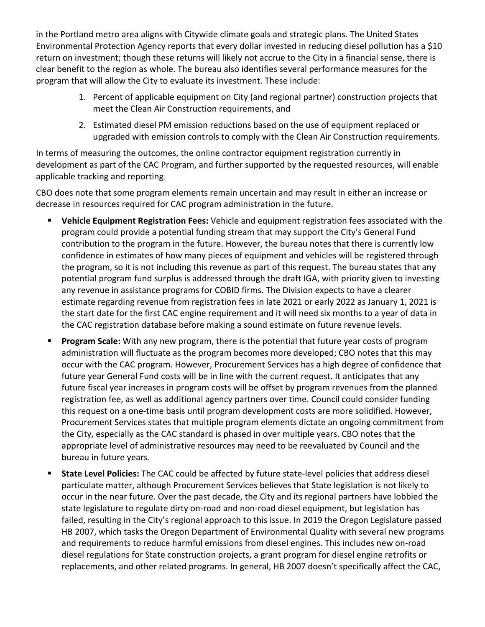in the Portland metro area aligns with Citywide climate goals and strategic plans. The United States Environmental Protection Agency reports that every dollar invested in reducing diesel pollution has a \$10 return on investment; though these returns will likely not accrue to the City in a financial sense, there is clear benefit to the region as whole. The bureau also identifies several performance measures for the program that will allow the City to evaluate its investment. These include:

- 1. Percent of applicable equipment on City (and regional partner) construction projects that meet the Clean Air Construction requirements, and
- 2. Estimated diesel PM emission reductions based on the use of equipment replaced or upgraded with emission controls to comply with the Clean Air Construction requirements.

In terms of measuring the outcomes, the online contractor equipment registration currently in development as part of the CAC Program, and further supported by the requested resources, will enable applicable tracking and reporting.

CBO does note that some program elements remain uncertain and may result in either an increase or decrease in resources required for CAC program administration in the future.

- **Vehicle Equipment Registration Fees:** Vehicle and equipment registration fees associated with the program could provide a potential funding stream that may support the City's General Fund contribution to the program in the future. However, the bureau notes that there is currently low confidence in estimates of how many pieces of equipment and vehicles will be registered through the program, so it is not including this revenue as part of this request. The bureau states that any potential program fund surplus is addressed through the draft IGA, with priority given to investing any revenue in assistance programs for COBID firms. The Division expects to have a clearer estimate regarding revenue from registration fees in late 2021 or early 2022 as January 1, 2021 is the start date for the first CAC engine requirement and it will need six months to a year of data in the CAC registration database before making a sound estimate on future revenue levels.
- **Program Scale:** With any new program, there is the potential that future year costs of program administration will fluctuate as the program becomes more developed; CBO notes that this may occur with the CAC program. However, Procurement Services has a high degree of confidence that future year General Fund costs will be in line with the current request. It anticipates that any future fiscal year increases in program costs will be offset by program revenues from the planned registration fee, as well as additional agency partners over time. Council could consider funding this request on a one-time basis until program development costs are more solidified. However, Procurement Services states that multiple program elements dictate an ongoing commitment from the City, especially as the CAC standard is phased in over multiple years. CBO notes that the appropriate level of administrative resources may need to be reevaluated by Council and the bureau in future years.
- **State Level Policies:** The CAC could be affected by future state-level policies that address diesel particulate matter, although Procurement Services believes that State legislation is not likely to occur in the near future. Over the past decade, the City and its regional partners have lobbied the state legislature to regulate dirty on-road and non-road diesel equipment, but legislation has failed, resulting in the City's regional approach to this issue. In 2019 the Oregon Legislature passed HB 2007, which tasks the Oregon Department of Environmental Quality with several new programs and requirements to reduce harmful emissions from diesel engines. This includes new on-road diesel regulations for State construction projects, a grant program for diesel engine retrofits or replacements, and other related programs. In general, HB 2007 doesn't specifically affect the CAC,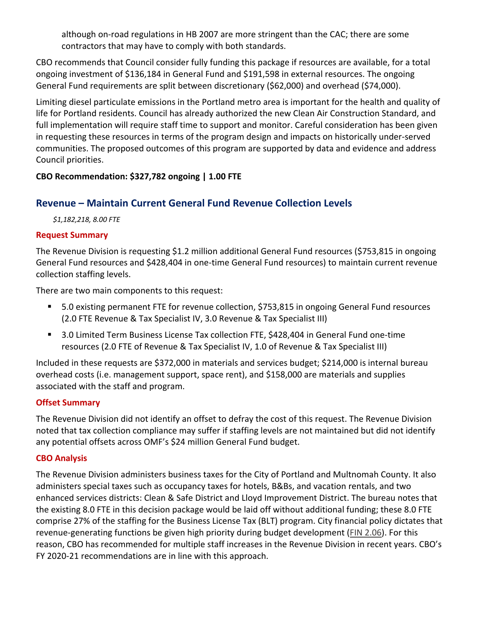although on-road regulations in HB 2007 are more stringent than the CAC; there are some contractors that may have to comply with both standards.

CBO recommends that Council consider fully funding this package if resources are available, for a total ongoing investment of \$136,184 in General Fund and \$191,598 in external resources. The ongoing General Fund requirements are split between discretionary (\$62,000) and overhead (\$74,000).

Limiting diesel particulate emissions in the Portland metro area is important for the health and quality of life for Portland residents. Council has already authorized the new Clean Air Construction Standard, and full implementation will require staff time to support and monitor. Careful consideration has been given in requesting these resources in terms of the program design and impacts on historically under-served communities. The proposed outcomes of this program are supported by data and evidence and address Council priorities.

#### **CBO Recommendation: \$327,782 ongoing | 1.00 FTE**

## **Revenue – Maintain Current General Fund Revenue Collection Levels**

*\$1,182,218, 8.00 FTE*

#### **Request Summary**

The Revenue Division is requesting \$1.2 million additional General Fund resources (\$753,815 in ongoing General Fund resources and \$428,404 in one-time General Fund resources) to maintain current revenue collection staffing levels.

There are two main components to this request:

- 5.0 existing permanent FTE for revenue collection, \$753,815 in ongoing General Fund resources (2.0 FTE Revenue & Tax Specialist IV, 3.0 Revenue & Tax Specialist III)
- 3.0 Limited Term Business License Tax collection FTE, \$428,404 in General Fund one-time resources (2.0 FTE of Revenue & Tax Specialist IV, 1.0 of Revenue & Tax Specialist III)

Included in these requests are \$372,000 in materials and services budget; \$214,000 is internal bureau overhead costs (i.e. management support, space rent), and \$158,000 are materials and supplies associated with the staff and program.

#### **Offset Summary**

The Revenue Division did not identify an offset to defray the cost of this request. The Revenue Division noted that tax collection compliance may suffer if staffing levels are not maintained but did not identify any potential offsets across OMF's \$24 million General Fund budget.

#### **CBO Analysis**

The Revenue Division administers business taxes for the City of Portland and Multnomah County. It also administers special taxes such as occupancy taxes for hotels, B&Bs, and vacation rentals, and two enhanced services districts: Clean & Safe District and Lloyd Improvement District. The bureau notes that the existing 8.0 FTE in this decision package would be laid off without additional funding; these 8.0 FTE comprise 27% of the staffing for the Business License Tax (BLT) program. City financial policy dictates that revenue-generating functions be given high priority during budget development [\(FIN 2.06\)](https://www.portlandoregon.gov/citycode/article/200836). For this reason, CBO has recommended for multiple staff increases in the Revenue Division in recent years. CBO's FY 2020-21 recommendations are in line with this approach.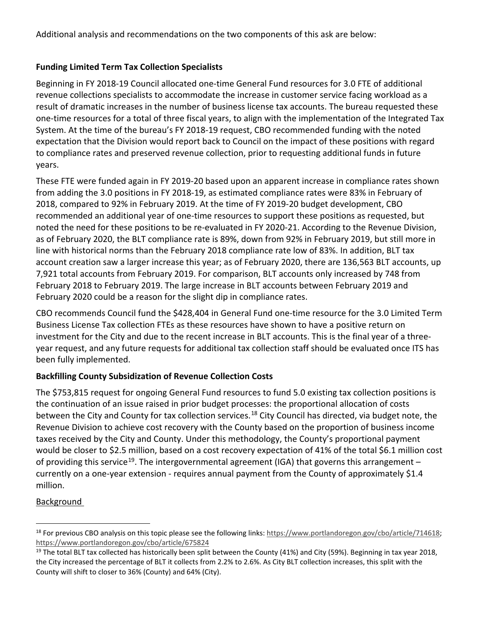Additional analysis and recommendations on the two components of this ask are below:

#### **Funding Limited Term Tax Collection Specialists**

Beginning in FY 2018-19 Council allocated one-time General Fund resources for 3.0 FTE of additional revenue collections specialists to accommodate the increase in customer service facing workload as a result of dramatic increases in the number of business license tax accounts. The bureau requested these one-time resources for a total of three fiscal years, to align with the implementation of the Integrated Tax System. At the time of the bureau's FY 2018-19 request, CBO recommended funding with the noted expectation that the Division would report back to Council on the impact of these positions with regard to compliance rates and preserved revenue collection, prior to requesting additional funds in future years.

These FTE were funded again in FY 2019-20 based upon an apparent increase in compliance rates shown from adding the 3.0 positions in FY 2018-19, as estimated compliance rates were 83% in February of 2018, compared to 92% in February 2019. At the time of FY 2019-20 budget development, CBO recommended an additional year of one-time resources to support these positions as requested, but noted the need for these positions to be re-evaluated in FY 2020-21. According to the Revenue Division, as of February 2020, the BLT compliance rate is 89%, down from 92% in February 2019, but still more in line with historical norms than the February 2018 compliance rate low of 83%. In addition, BLT tax account creation saw a larger increase this year; as of February 2020, there are 136,563 BLT accounts, up 7,921 total accounts from February 2019. For comparison, BLT accounts only increased by 748 from February 2018 to February 2019. The large increase in BLT accounts between February 2019 and February 2020 could be a reason for the slight dip in compliance rates.

CBO recommends Council fund the \$428,404 in General Fund one-time resource for the 3.0 Limited Term Business License Tax collection FTEs as these resources have shown to have a positive return on investment for the City and due to the recent increase in BLT accounts. This is the final year of a threeyear request, and any future requests for additional tax collection staff should be evaluated once ITS has been fully implemented.

#### **Backfilling County Subsidization of Revenue Collection Costs**

The \$753,815 request for ongoing General Fund resources to fund 5.0 existing tax collection positions is the continuation of an issue raised in prior budget processes: the proportional allocation of costs between the City and County for tax collection services.<sup>[18](#page-20-0)</sup> City Council has directed, via budget note, the Revenue Division to achieve cost recovery with the County based on the proportion of business income taxes received by the City and County. Under this methodology, the County's proportional payment would be closer to \$2.5 million, based on a cost recovery expectation of 41% of the total \$6.1 million cost of providing this service<sup>19</sup>. The intergovernmental agreement (IGA) that governs this arrangement – currently on a one-year extension - requires annual payment from the County of approximately \$1.4 million.

#### Background

<span id="page-20-0"></span><sup>&</sup>lt;sup>18</sup> For previous CBO analysis on this topic please see the following links: [https://www.portlandoregon.gov/cbo/article/714618;](https://www.portlandoregon.gov/cbo/article/714618) <https://www.portlandoregon.gov/cbo/article/675824>

<span id="page-20-1"></span> $19$  The total BLT tax collected has historically been split between the County (41%) and City (59%). Beginning in tax year 2018, the City increased the percentage of BLT it collects from 2.2% to 2.6%. As City BLT collection increases, this split with the County will shift to closer to 36% (County) and 64% (City).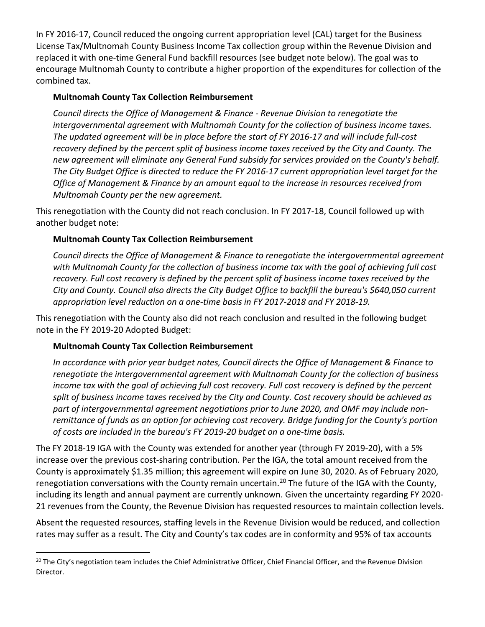In FY 2016-17, Council reduced the ongoing current appropriation level (CAL) target for the Business License Tax/Multnomah County Business Income Tax collection group within the Revenue Division and replaced it with one-time General Fund backfill resources (see budget note below). The goal was to encourage Multnomah County to contribute a higher proportion of the expenditures for collection of the combined tax.

#### **Multnomah County Tax Collection Reimbursement**

*Council directs the Office of Management & Finance - Revenue Division to renegotiate the intergovernmental agreement with Multnomah County for the collection of business income taxes. The updated agreement will be in place before the start of FY 2016-17 and will include full-cost recovery defined by the percent split of business income taxes received by the City and County. The new agreement will eliminate any General Fund subsidy for services provided on the County's behalf. The City Budget Office is directed to reduce the FY 2016-17 current appropriation level target for the Office of Management & Finance by an amount equal to the increase in resources received from Multnomah County per the new agreement.* 

This renegotiation with the County did not reach conclusion. In FY 2017-18, Council followed up with another budget note:

#### **Multnomah County Tax Collection Reimbursement**

*Council directs the Office of Management & Finance to renegotiate the intergovernmental agreement with Multnomah County for the collection of business income tax with the goal of achieving full cost recovery. Full cost recovery is defined by the percent split of business income taxes received by the City and County. Council also directs the City Budget Office to backfill the bureau's \$640,050 current appropriation level reduction on a one-time basis in FY 2017-2018 and FY 2018-19.*

This renegotiation with the County also did not reach conclusion and resulted in the following budget note in the FY 2019-20 Adopted Budget:

#### **Multnomah County Tax Collection Reimbursement**

*In accordance with prior year budget notes, Council directs the Office of Management & Finance to renegotiate the intergovernmental agreement with Multnomah County for the collection of business income tax with the goal of achieving full cost recovery. Full cost recovery is defined by the percent split of business income taxes received by the City and County. Cost recovery should be achieved as part of intergovernmental agreement negotiations prior to June 2020, and OMF may include nonremittance of funds as an option for achieving cost recovery. Bridge funding for the County's portion of costs are included in the bureau's FY 2019-20 budget on a one-time basis.*

The FY 2018-19 IGA with the County was extended for another year (through FY 2019-20), with a 5% increase over the previous cost-sharing contribution. Per the IGA, the total amount received from the County is approximately \$1.35 million; this agreement will expire on June 30, 2020. As of February 2020, renegotiation conversations with the County remain uncertain.<sup>[20](#page-21-0)</sup> The future of the IGA with the County, including its length and annual payment are currently unknown. Given the uncertainty regarding FY 2020- 21 revenues from the County, the Revenue Division has requested resources to maintain collection levels.

Absent the requested resources, staffing levels in the Revenue Division would be reduced, and collection rates may suffer as a result. The City and County's tax codes are in conformity and 95% of tax accounts

<span id="page-21-0"></span><sup>&</sup>lt;sup>20</sup> The City's negotiation team includes the Chief Administrative Officer, Chief Financial Officer, and the Revenue Division Director.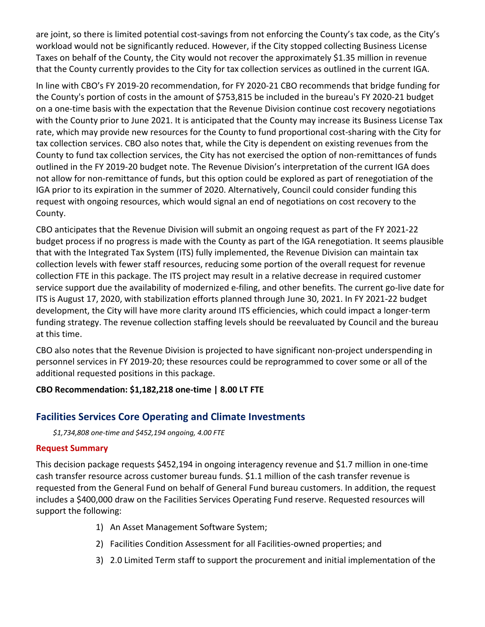are joint, so there is limited potential cost-savings from not enforcing the County's tax code, as the City's workload would not be significantly reduced. However, if the City stopped collecting Business License Taxes on behalf of the County, the City would not recover the approximately \$1.35 million in revenue that the County currently provides to the City for tax collection services as outlined in the current IGA.

In line with CBO's FY 2019-20 recommendation, for FY 2020-21 CBO recommends that bridge funding for the County's portion of costs in the amount of \$753,815 be included in the bureau's FY 2020-21 budget on a one-time basis with the expectation that the Revenue Division continue cost recovery negotiations with the County prior to June 2021. It is anticipated that the County may increase its Business License Tax rate, which may provide new resources for the County to fund proportional cost-sharing with the City for tax collection services. CBO also notes that, while the City is dependent on existing revenues from the County to fund tax collection services, the City has not exercised the option of non-remittances of funds outlined in the FY 2019-20 budget note. The Revenue Division's interpretation of the current IGA does not allow for non-remittance of funds, but this option could be explored as part of renegotiation of the IGA prior to its expiration in the summer of 2020. Alternatively, Council could consider funding this request with ongoing resources, which would signal an end of negotiations on cost recovery to the County.

CBO anticipates that the Revenue Division will submit an ongoing request as part of the FY 2021-22 budget process if no progress is made with the County as part of the IGA renegotiation. It seems plausible that with the Integrated Tax System (ITS) fully implemented, the Revenue Division can maintain tax collection levels with fewer staff resources, reducing some portion of the overall request for revenue collection FTE in this package. The ITS project may result in a relative decrease in required customer service support due the availability of modernized e-filing, and other benefits. The current go-live date for ITS is August 17, 2020, with stabilization efforts planned through June 30, 2021. In FY 2021-22 budget development, the City will have more clarity around ITS efficiencies, which could impact a longer-term funding strategy. The revenue collection staffing levels should be reevaluated by Council and the bureau at this time.

CBO also notes that the Revenue Division is projected to have significant non-project underspending in personnel services in FY 2019-20; these resources could be reprogrammed to cover some or all of the additional requested positions in this package.

#### **CBO Recommendation: \$1,182,218 one-time | 8.00 LT FTE**

## **Facilities Services Core Operating and Climate Investments**

*\$1,734,808 one-time and \$452,194 ongoing, 4.00 FTE*

#### **Request Summary**

This decision package requests \$452,194 in ongoing interagency revenue and \$1.7 million in one-time cash transfer resource across customer bureau funds. \$1.1 million of the cash transfer revenue is requested from the General Fund on behalf of General Fund bureau customers. In addition, the request includes a \$400,000 draw on the Facilities Services Operating Fund reserve. Requested resources will support the following:

- 1) An Asset Management Software System;
- 2) Facilities Condition Assessment for all Facilities-owned properties; and
- 3) 2.0 Limited Term staff to support the procurement and initial implementation of the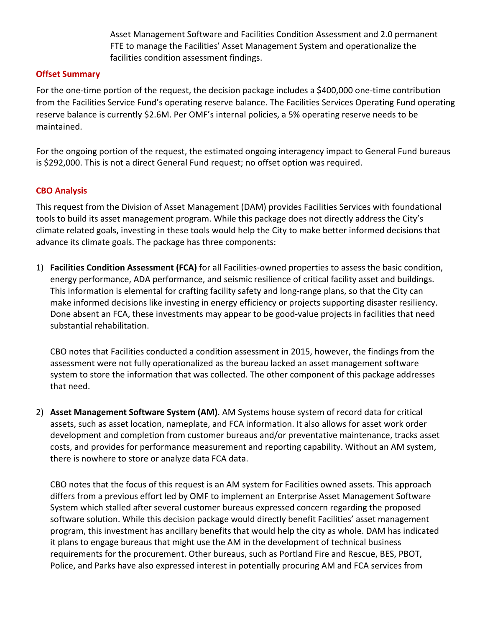Asset Management Software and Facilities Condition Assessment and 2.0 permanent FTE to manage the Facilities' Asset Management System and operationalize the facilities condition assessment findings.

#### **Offset Summary**

For the one-time portion of the request, the decision package includes a \$400,000 one-time contribution from the Facilities Service Fund's operating reserve balance. The Facilities Services Operating Fund operating reserve balance is currently \$2.6M. Per OMF's internal policies, a 5% operating reserve needs to be maintained.

For the ongoing portion of the request, the estimated ongoing interagency impact to General Fund bureaus is \$292,000. This is not a direct General Fund request; no offset option was required.

#### **CBO Analysis**

This request from the Division of Asset Management (DAM) provides Facilities Services with foundational tools to build its asset management program. While this package does not directly address the City's climate related goals, investing in these tools would help the City to make better informed decisions that advance its climate goals. The package has three components:

1) **Facilities Condition Assessment (FCA)** for all Facilities-owned properties to assess the basic condition, energy performance, ADA performance, and seismic resilience of critical facility asset and buildings. This information is elemental for crafting facility safety and long-range plans, so that the City can make informed decisions like investing in energy efficiency or projects supporting disaster resiliency. Done absent an FCA, these investments may appear to be good-value projects in facilities that need substantial rehabilitation.

CBO notes that Facilities conducted a condition assessment in 2015, however, the findings from the assessment were not fully operationalized as the bureau lacked an asset management software system to store the information that was collected. The other component of this package addresses that need.

2) **Asset Management Software System (AM)**. AM Systems house system of record data for critical assets, such as asset location, nameplate, and FCA information. It also allows for asset work order development and completion from customer bureaus and/or preventative maintenance, tracks asset costs, and provides for performance measurement and reporting capability. Without an AM system, there is nowhere to store or analyze data FCA data.

CBO notes that the focus of this request is an AM system for Facilities owned assets. This approach differs from a previous effort led by OMF to implement an Enterprise Asset Management Software System which stalled after several customer bureaus expressed concern regarding the proposed software solution. While this decision package would directly benefit Facilities' asset management program, this investment has ancillary benefits that would help the city as whole. DAM has indicated it plans to engage bureaus that might use the AM in the development of technical business requirements for the procurement. Other bureaus, such as Portland Fire and Rescue, BES, PBOT, Police, and Parks have also expressed interest in potentially procuring AM and FCA services from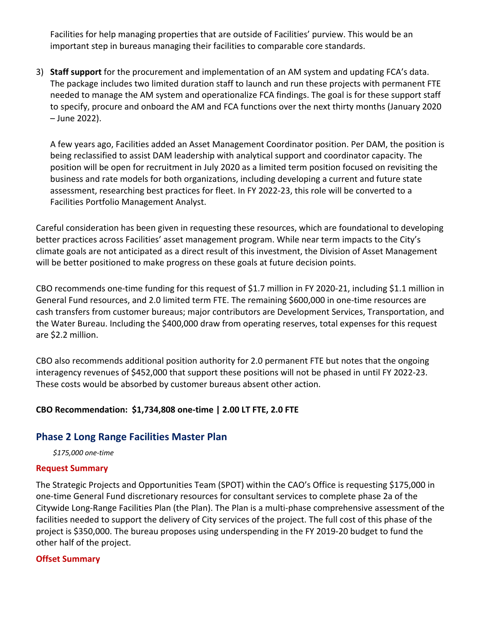Facilities for help managing properties that are outside of Facilities' purview. This would be an important step in bureaus managing their facilities to comparable core standards.

3) **Staff support** for the procurement and implementation of an AM system and updating FCA's data. The package includes two limited duration staff to launch and run these projects with permanent FTE needed to manage the AM system and operationalize FCA findings. The goal is for these support staff to specify, procure and onboard the AM and FCA functions over the next thirty months (January 2020 – June 2022).

A few years ago, Facilities added an Asset Management Coordinator position. Per DAM, the position is being reclassified to assist DAM leadership with analytical support and coordinator capacity. The position will be open for recruitment in July 2020 as a limited term position focused on revisiting the business and rate models for both organizations, including developing a current and future state assessment, researching best practices for fleet. In FY 2022-23, this role will be converted to a Facilities Portfolio Management Analyst.

Careful consideration has been given in requesting these resources, which are foundational to developing better practices across Facilities' asset management program. While near term impacts to the City's climate goals are not anticipated as a direct result of this investment, the Division of Asset Management will be better positioned to make progress on these goals at future decision points.

CBO recommends one-time funding for this request of \$1.7 million in FY 2020-21, including \$1.1 million in General Fund resources, and 2.0 limited term FTE. The remaining \$600,000 in one-time resources are cash transfers from customer bureaus; major contributors are Development Services, Transportation, and the Water Bureau. Including the \$400,000 draw from operating reserves, total expenses for this request are \$2.2 million.

CBO also recommends additional position authority for 2.0 permanent FTE but notes that the ongoing interagency revenues of \$452,000 that support these positions will not be phased in until FY 2022-23. These costs would be absorbed by customer bureaus absent other action.

#### **CBO Recommendation: \$1,734,808 one-time | 2.00 LT FTE, 2.0 FTE**

#### **Phase 2 Long Range Facilities Master Plan**

*\$175,000 one-time*

#### **Request Summary**

The Strategic Projects and Opportunities Team (SPOT) within the CAO's Office is requesting \$175,000 in one-time General Fund discretionary resources for consultant services to complete phase 2a of the Citywide Long-Range Facilities Plan (the Plan). The Plan is a multi-phase comprehensive assessment of the facilities needed to support the delivery of City services of the project. The full cost of this phase of the project is \$350,000. The bureau proposes using underspending in the FY 2019-20 budget to fund the other half of the project.

#### **Offset Summary**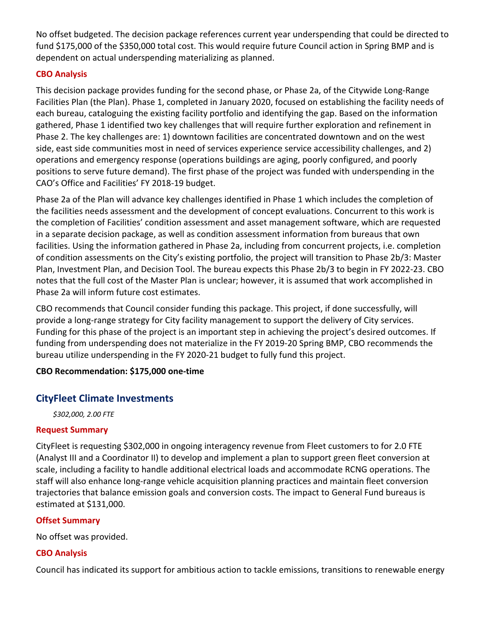No offset budgeted. The decision package references current year underspending that could be directed to fund \$175,000 of the \$350,000 total cost. This would require future Council action in Spring BMP and is dependent on actual underspending materializing as planned.

#### **CBO Analysis**

This decision package provides funding for the second phase, or Phase 2a, of the Citywide Long-Range Facilities Plan (the Plan). Phase 1, completed in January 2020, focused on establishing the facility needs of each bureau, cataloguing the existing facility portfolio and identifying the gap. Based on the information gathered, Phase 1 identified two key challenges that will require further exploration and refinement in Phase 2. The key challenges are: 1) downtown facilities are concentrated downtown and on the west side, east side communities most in need of services experience service accessibility challenges, and 2) operations and emergency response (operations buildings are aging, poorly configured, and poorly positions to serve future demand). The first phase of the project was funded with underspending in the CAO's Office and Facilities' FY 2018-19 budget.

Phase 2a of the Plan will advance key challenges identified in Phase 1 which includes the completion of the facilities needs assessment and the development of concept evaluations. Concurrent to this work is the completion of Facilities' condition assessment and asset management software, which are requested in a separate decision package, as well as condition assessment information from bureaus that own facilities. Using the information gathered in Phase 2a, including from concurrent projects, i.e. completion of condition assessments on the City's existing portfolio, the project will transition to Phase 2b/3: Master Plan, Investment Plan, and Decision Tool. The bureau expects this Phase 2b/3 to begin in FY 2022-23. CBO notes that the full cost of the Master Plan is unclear; however, it is assumed that work accomplished in Phase 2a will inform future cost estimates.

CBO recommends that Council consider funding this package. This project, if done successfully, will provide a long-range strategy for City facility management to support the delivery of City services. Funding for this phase of the project is an important step in achieving the project's desired outcomes. If funding from underspending does not materialize in the FY 2019-20 Spring BMP, CBO recommends the bureau utilize underspending in the FY 2020-21 budget to fully fund this project.

#### **CBO Recommendation: \$175,000 one-time**

## **CityFleet Climate Investments**

*\$302,000, 2.00 FTE*

#### **Request Summary**

CityFleet is requesting \$302,000 in ongoing interagency revenue from Fleet customers to for 2.0 FTE (Analyst III and a Coordinator II) to develop and implement a plan to support green fleet conversion at scale, including a facility to handle additional electrical loads and accommodate RCNG operations. The staff will also enhance long-range vehicle acquisition planning practices and maintain fleet conversion trajectories that balance emission goals and conversion costs. The impact to General Fund bureaus is estimated at \$131,000.

#### **Offset Summary**

No offset was provided.

#### **CBO Analysis**

Council has indicated its support for ambitious action to tackle emissions, transitions to renewable energy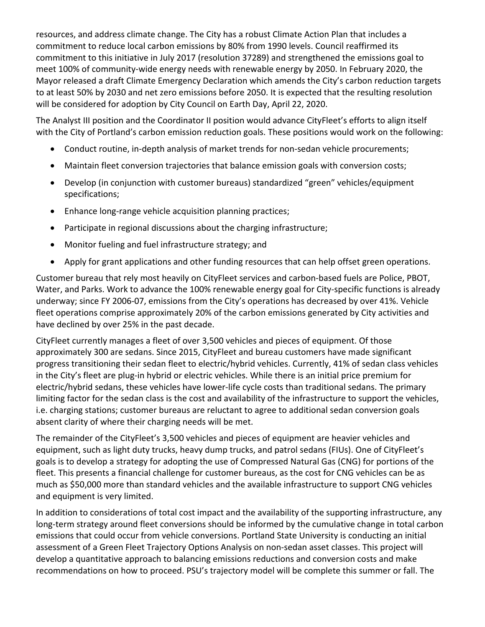resources, and address climate change. The City has a robust Climate Action Plan that includes a commitment to reduce local carbon emissions by 80% from 1990 levels. Council reaffirmed its commitment to this initiative in July 2017 (resolution 37289) and strengthened the emissions goal to meet 100% of community-wide energy needs with renewable energy by 2050. In February 2020, the Mayor released a draft Climate Emergency Declaration which amends the City's carbon reduction targets to at least 50% by 2030 and net zero emissions before 2050. It is expected that the resulting resolution will be considered for adoption by City Council on Earth Day, April 22, 2020.

The Analyst III position and the Coordinator II position would advance CityFleet's efforts to align itself with the City of Portland's carbon emission reduction goals. These positions would work on the following:

- Conduct routine, in-depth analysis of market trends for non-sedan vehicle procurements;
- Maintain fleet conversion trajectories that balance emission goals with conversion costs;
- Develop (in conjunction with customer bureaus) standardized "green" vehicles/equipment specifications;
- Enhance long-range vehicle acquisition planning practices;
- Participate in regional discussions about the charging infrastructure;
- Monitor fueling and fuel infrastructure strategy; and
- Apply for grant applications and other funding resources that can help offset green operations.

Customer bureau that rely most heavily on CityFleet services and carbon-based fuels are Police, PBOT, Water, and Parks. Work to advance the 100% renewable energy goal for City-specific functions is already underway; since FY 2006-07, emissions from the City's operations has decreased by over 41%. Vehicle fleet operations comprise approximately 20% of the carbon emissions generated by City activities and have declined by over 25% in the past decade.

CityFleet currently manages a fleet of over 3,500 vehicles and pieces of equipment. Of those approximately 300 are sedans. Since 2015, CityFleet and bureau customers have made significant progress transitioning their sedan fleet to electric/hybrid vehicles. Currently, 41% of sedan class vehicles in the City's fleet are plug-in hybrid or electric vehicles. While there is an initial price premium for electric/hybrid sedans, these vehicles have lower-life cycle costs than traditional sedans. The primary limiting factor for the sedan class is the cost and availability of the infrastructure to support the vehicles, i.e. charging stations; customer bureaus are reluctant to agree to additional sedan conversion goals absent clarity of where their charging needs will be met.

The remainder of the CityFleet's 3,500 vehicles and pieces of equipment are heavier vehicles and equipment, such as light duty trucks, heavy dump trucks, and patrol sedans (FIUs). One of CityFleet's goals is to develop a strategy for adopting the use of Compressed Natural Gas (CNG) for portions of the fleet. This presents a financial challenge for customer bureaus, as the cost for CNG vehicles can be as much as \$50,000 more than standard vehicles and the available infrastructure to support CNG vehicles and equipment is very limited.

In addition to considerations of total cost impact and the availability of the supporting infrastructure, any long-term strategy around fleet conversions should be informed by the cumulative change in total carbon emissions that could occur from vehicle conversions. Portland State University is conducting an initial assessment of a Green Fleet Trajectory Options Analysis on non-sedan asset classes. This project will develop a quantitative approach to balancing emissions reductions and conversion costs and make recommendations on how to proceed. PSU's trajectory model will be complete this summer or fall. The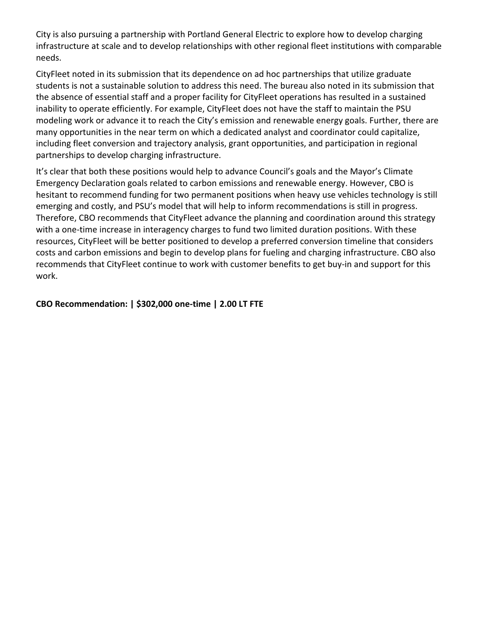City is also pursuing a partnership with Portland General Electric to explore how to develop charging infrastructure at scale and to develop relationships with other regional fleet institutions with comparable needs.

CityFleet noted in its submission that its dependence on ad hoc partnerships that utilize graduate students is not a sustainable solution to address this need. The bureau also noted in its submission that the absence of essential staff and a proper facility for CityFleet operations has resulted in a sustained inability to operate efficiently. For example, CityFleet does not have the staff to maintain the PSU modeling work or advance it to reach the City's emission and renewable energy goals. Further, there are many opportunities in the near term on which a dedicated analyst and coordinator could capitalize, including fleet conversion and trajectory analysis, grant opportunities, and participation in regional partnerships to develop charging infrastructure.

It's clear that both these positions would help to advance Council's goals and the Mayor's Climate Emergency Declaration goals related to carbon emissions and renewable energy. However, CBO is hesitant to recommend funding for two permanent positions when heavy use vehicles technology is still emerging and costly, and PSU's model that will help to inform recommendations is still in progress. Therefore, CBO recommends that CityFleet advance the planning and coordination around this strategy with a one-time increase in interagency charges to fund two limited duration positions. With these resources, CityFleet will be better positioned to develop a preferred conversion timeline that considers costs and carbon emissions and begin to develop plans for fueling and charging infrastructure. CBO also recommends that CityFleet continue to work with customer benefits to get buy-in and support for this work.

**CBO Recommendation: | \$302,000 one-time | 2.00 LT FTE**